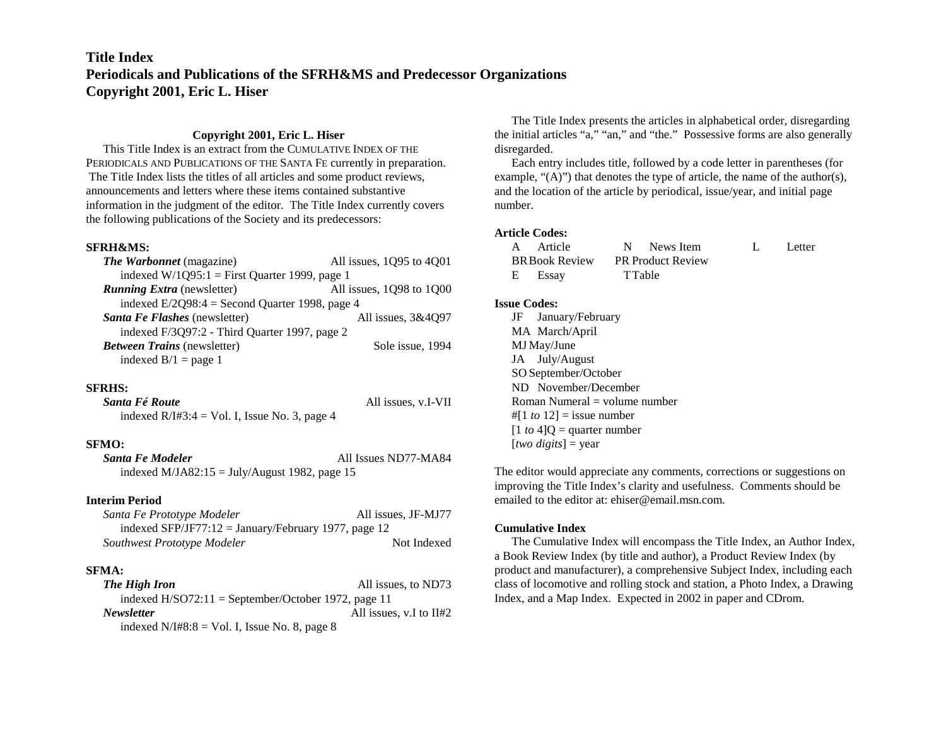#### **Copyright 2001, Eric L. Hiser**

This Title Index is an extract from the CUMULATIVE INDEX OF THEPERIODICALS AND PUBLICATIONS OF THE SANTA FE currently in preparation. The Title Index lists the titles of all articles and some product reviews, announcements and letters where these items contained substantiveinformation in the judgment of the editor. The Title Index currently covers the following publications of the Society and its predecessors:

#### **SFRH&MS:**

| All issues, 1Q95 to 4Q01                         |
|--------------------------------------------------|
| indexed $W/1Q95:1$ = First Quarter 1999, page 1  |
| All issues, 1Q98 to 1Q00                         |
| indexed $E/2Q98:4 =$ Second Quarter 1998, page 4 |
| All issues, 3&4Q97                               |
| indexed F/3Q97:2 - Third Quarter 1997, page 2    |
| Sole issue, 1994                                 |
|                                                  |
|                                                  |

#### **SFRHS:**

| Santa Fé Route                                   | All issues, v.I-VII |
|--------------------------------------------------|---------------------|
| indexed $R/I#3:4 = Vol. I$ , Issue No. 3, page 4 |                     |

#### **SFMO:**

*Santa Fe Modeler* All Issues ND77-MA84indexed M/JA82:15 = July/August 1982, page 15

#### **Interim Period**

| Santa Fe Prototype Modeler                           | All issues, JF-MJ77 |
|------------------------------------------------------|---------------------|
| indexed SFP/JF77:12 = January/February 1977, page 12 |                     |
| Southwest Prototype Modeler                          | Not Indexed         |

#### **SFMA:**

*The High Iron* All issues, to ND73 indexed  $H/SO72:11 = September/October 1972$ , page 11 *Newsletter* All issues, v.I to II#2 indexed  $N/I#8:8 = Vol. I$ , Issue No. 8, page 8

The Title Index presents the articles in alphabetical order, disregarding the initial articles "a," "an," and "the." Possessive forms are also generally disregarded.

Each entry includes title, followed by a code letter in parentheses (for example, " $(A)$ ") that denotes the type of article, the name of the author(s), and the location of the article by periodical, issue/year, and initial page number.

#### **Article Codes:**

| A Article      | N News Item              | Letter |
|----------------|--------------------------|--------|
| BR Book Review | <b>PR Product Review</b> |        |
| E Essay        | <b>TTable</b>            |        |

#### **Issue Codes:**

JF January/February MA March/April MJ May/June JA July/August SO September/October ND November/December $Roman$  Numeral  $=$  volume number  $#[1 \text{ to } 12] =$  issue number  $[1 \text{ to } 4]$ Q = quarter number [*two digits*] = year

The editor would appreciate any comments, corrections or suggestions on improving the Title Index's clarity and usefulness. Comments should be emailed to the editor at: ehiser@email.msn.com.

#### **Cumulative Index**

The Cumulative Index will encompass the Title Index, an Author Index, a Book Review Index (by title and author), a Product Review Index (by product and manufacturer), a comprehensive Subject Index, including each class of locomotive and rolling stock and station, a Photo Index, a Drawing Index, and a Map Index. Expected in 2002 in paper and CDrom.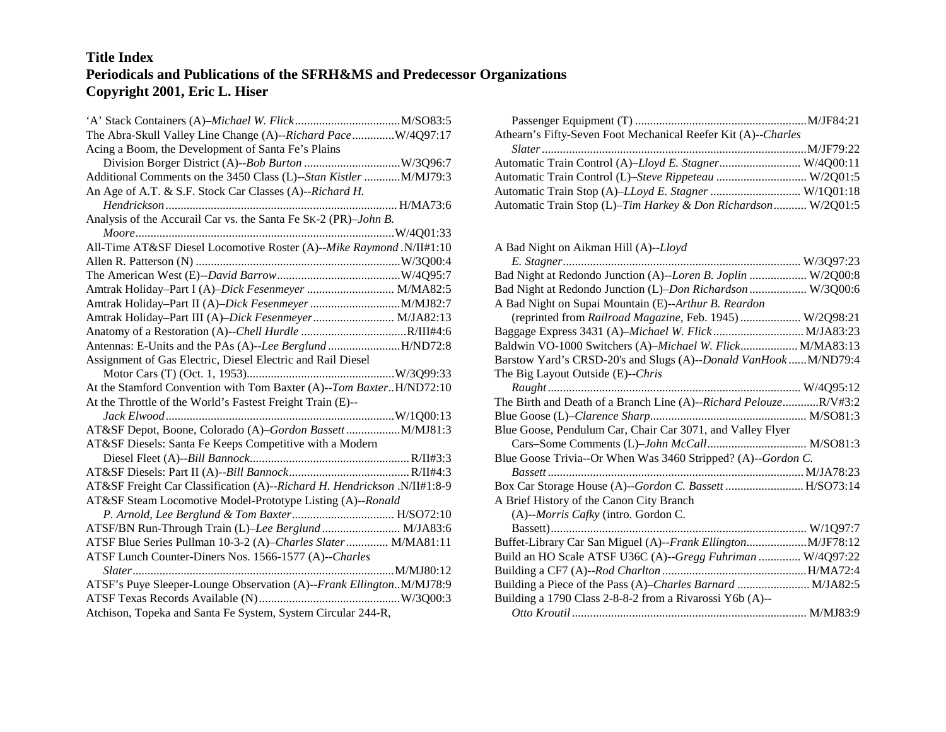| The Abra-Skull Valley Line Change (A)--Richard PaceW/4Q97:17             |  |
|--------------------------------------------------------------------------|--|
| Acing a Boom, the Development of Santa Fe's Plains                       |  |
|                                                                          |  |
| Additional Comments on the 3450 Class (L)--Stan Kistler  M/MJ79:3        |  |
| An Age of A.T. & S.F. Stock Car Classes (A)--Richard H.                  |  |
|                                                                          |  |
| Analysis of the Accurail Car vs. the Santa Fe SK-2 (PR)-John B.          |  |
|                                                                          |  |
| All-Time AT&SF Diesel Locomotive Roster (A)--Mike Raymond.N/II#1:10      |  |
|                                                                          |  |
|                                                                          |  |
| Amtrak Holiday-Part I (A)-Dick Fesenmeyer  M/MA82:5                      |  |
|                                                                          |  |
| Amtrak Holiday-Part III (A)-Dick Fesenmeyer M/JA82:13                    |  |
|                                                                          |  |
| Antennas: E-Units and the PAs (A)--Lee Berglund H/ND72:8                 |  |
| Assignment of Gas Electric, Diesel Electric and Rail Diesel              |  |
|                                                                          |  |
| At the Stamford Convention with Tom Baxter (A)--Tom BaxterH/ND72:10      |  |
| At the Throttle of the World's Fastest Freight Train (E)--               |  |
| Jack El wood                                                             |  |
| AT&SF Depot, Boone, Colorado (A)-Gordon Bassett  M/MJ81:3                |  |
| AT&SF Diesels: Santa Fe Keeps Competitive with a Modern                  |  |
|                                                                          |  |
|                                                                          |  |
| AT&SF Freight Car Classification (A)--Richard H. Hendrickson .N/II#1:8-9 |  |
| AT&SF Steam Locomotive Model-Prototype Listing (A)--Ronald               |  |
|                                                                          |  |
| ATSF/BN Run-Through Train (L)-Lee Berglund  M/JA83:6                     |  |
| ATSF Blue Series Pullman 10-3-2 (A)-Charles Slater M/MA81:11             |  |
| ATSF Lunch Counter-Diners Nos. 1566-1577 (A)--Charles                    |  |
|                                                                          |  |
| ATSF's Puye Sleeper-Lounge Observation (A)--Frank EllingtonM/MJ78:9      |  |
|                                                                          |  |
| Atchison, Topeka and Santa Fe System, System Circular 244-R,             |  |

| Athearn's Fifty-Seven Foot Mechanical Reefer Kit (A)--Charles |  |
|---------------------------------------------------------------|--|
|                                                               |  |
|                                                               |  |
| Automatic Train Control (L)-Steve Rippeteau  W/2Q01:5         |  |
|                                                               |  |
| Automatic Train Stop (L)-Tim Harkey & Don Richardson W/2Q01:5 |  |

| A Bad Night on Aikman Hill (A)--Lloyd                            |  |
|------------------------------------------------------------------|--|
|                                                                  |  |
| Bad Night at Redondo Junction (A)--Loren B. Joplin  W/2Q00:8     |  |
| Bad Night at Redondo Junction (L)–Don Richardson  W/3Q00:6       |  |
| A Bad Night on Supai Mountain (E)--Arthur B. Reardon             |  |
| (reprinted from Railroad Magazine, Feb. 1945) W/2Q98:21          |  |
|                                                                  |  |
| Baldwin VO-1000 Switchers (A)-Michael W. Flick M/MA83:13         |  |
| Barstow Yard's CRSD-20's and Slugs (A)--Donald VanHookM/ND79:4   |  |
| The Big Layout Outside (E)--Chris                                |  |
|                                                                  |  |
| The Birth and Death of a Branch Line (A)--Richard PelouzeR/V#3:2 |  |
|                                                                  |  |
| Blue Goose, Pendulum Car, Chair Car 3071, and Valley Flyer       |  |
|                                                                  |  |
| Blue Goose Trivia--Or When Was 3460 Stripped? (A)--Gordon C.     |  |
|                                                                  |  |
| Box Car Storage House (A)--Gordon C. Bassett H/SO73:14           |  |
| A Brief History of the Canon City Branch                         |  |
| (A)--Morris Cafky (intro. Gordon C.                              |  |
|                                                                  |  |
| Buffet-Library Car San Miguel (A)--Frank Ellington M/JF78:12     |  |
| Build an HO Scale ATSF U36C (A)--Gregg Fuhriman  W/4Q97:22       |  |
|                                                                  |  |
| Building a Piece of the Pass (A)-Charles Barnard  M/JA82:5       |  |
| Building a 1790 Class 2-8-8-2 from a Rivarossi Y6b (A)--         |  |
|                                                                  |  |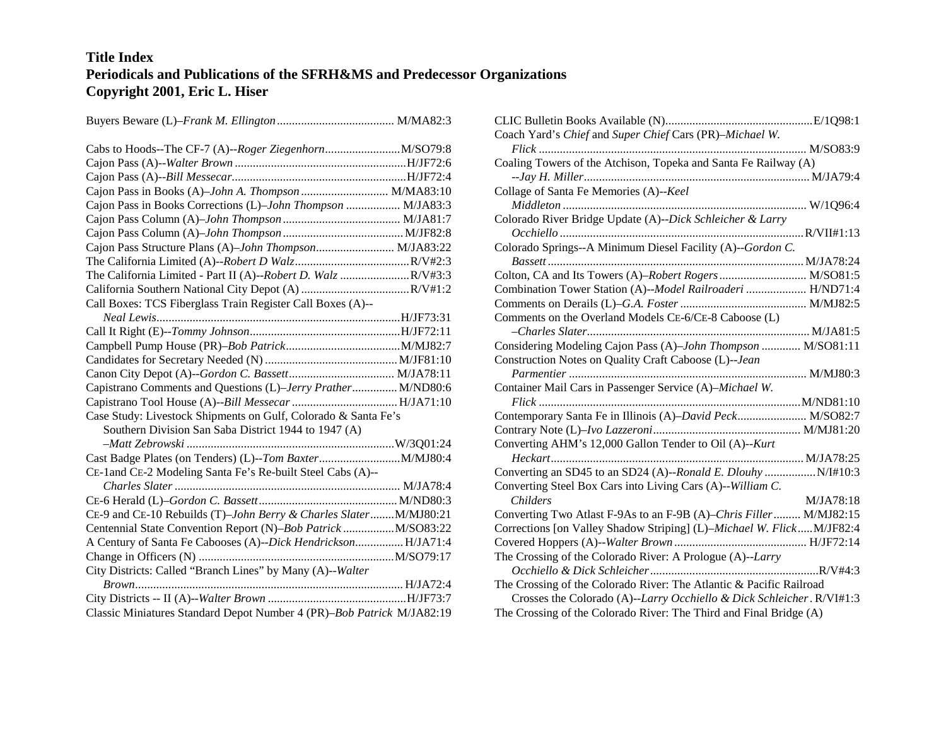Buyers Beware (L)–*Frank M. Ellington*....................................... M/MA82:3

| Cajon Pass in Books (A)-John A. Thompson  M/MA83:10                   |  |
|-----------------------------------------------------------------------|--|
| Cajon Pass in Books Corrections (L)-John Thompson  M/JA83:3           |  |
|                                                                       |  |
|                                                                       |  |
| Cajon Pass Structure Plans (A)-John Thompson M/JA83:22                |  |
|                                                                       |  |
| The California Limited - Part II (A)--Robert D. Walz R/V#3:3          |  |
|                                                                       |  |
| Call Boxes: TCS Fiberglass Train Register Call Boxes (A)--            |  |
|                                                                       |  |
|                                                                       |  |
|                                                                       |  |
|                                                                       |  |
|                                                                       |  |
| Capistrano Comments and Questions (L)-Jerry Prather M/ND80:6          |  |
|                                                                       |  |
| Case Study: Livestock Shipments on Gulf, Colorado & Santa Fe's        |  |
| Southern Division San Saba District 1944 to 1947 (A)                  |  |
|                                                                       |  |
|                                                                       |  |
| CE-1 and CE-2 Modeling Santa Fe's Re-built Steel Cabs (A)--           |  |
|                                                                       |  |
|                                                                       |  |
| CE-9 and CE-10 Rebuilds (T)-John Berry & Charles SlaterM/MJ80:21      |  |
| Centennial State Convention Report (N)-Bob Patrick  M/SO83:22         |  |
| A Century of Santa Fe Cabooses (A)--Dick Hendrickson H/JA71:4         |  |
|                                                                       |  |
| City Districts: Called "Branch Lines" by Many (A)--Walter             |  |
|                                                                       |  |
|                                                                       |  |
| Classic Miniatures Standard Depot Number 4 (PR)-Bob Patrick M/JA82:19 |  |

| Coach Yard's Chief and Super Chief Cars (PR)-Michael W.               |           |
|-----------------------------------------------------------------------|-----------|
|                                                                       |           |
| Coaling Towers of the Atchison, Topeka and Santa Fe Railway (A)       |           |
|                                                                       |           |
| Collage of Santa Fe Memories (A)--Keel                                |           |
|                                                                       |           |
| Colorado River Bridge Update (A)--Dick Schleicher & Larry             |           |
|                                                                       |           |
| Colorado Springs--A Minimum Diesel Facility (A)--Gordon C.            |           |
|                                                                       |           |
| Colton, CA and Its Towers (A)-Robert Rogers  M/SO81:5                 |           |
| Combination Tower Station (A)--Model Railroaderi  H/ND71:4            |           |
|                                                                       |           |
| Comments on the Overland Models CE-6/CE-8 Caboose (L)                 |           |
|                                                                       |           |
| Considering Modeling Cajon Pass (A)-John Thompson  M/SO81:11          |           |
| Construction Notes on Quality Craft Caboose (L)--Jean                 |           |
|                                                                       |           |
| Container Mail Cars in Passenger Service (A)-Michael W.               |           |
|                                                                       |           |
| Contemporary Santa Fe in Illinois (A)-David Peck M/SO82:7             |           |
|                                                                       |           |
| Converting AHM's 12,000 Gallon Tender to Oil (A)--Kurt                |           |
|                                                                       |           |
| Converting an SD45 to an SD24 (A)--Ronald E. Dlouhy  N/I#10:3         |           |
| Converting Steel Box Cars into Living Cars (A)--William C.            |           |
| <i>Childers</i>                                                       | M/JA78:18 |
| Converting Two Atlast F-9As to an F-9B (A)–Chris Filler M/MJ82:15     |           |
| Corrections [on Valley Shadow Striping] (L)-Michael W. FlickM/JF82:4  |           |
|                                                                       |           |
| The Crossing of the Colorado River: A Prologue (A)--Larry             |           |
|                                                                       |           |
| The Crossing of the Colorado River: The Atlantic & Pacific Railroad   |           |
| Crosses the Colorado (A)--Larry Occhiello & Dick Schleicher. R/VI#1:3 |           |
| The Crossing of the Colorado River: The Third and Final Bridge (A)    |           |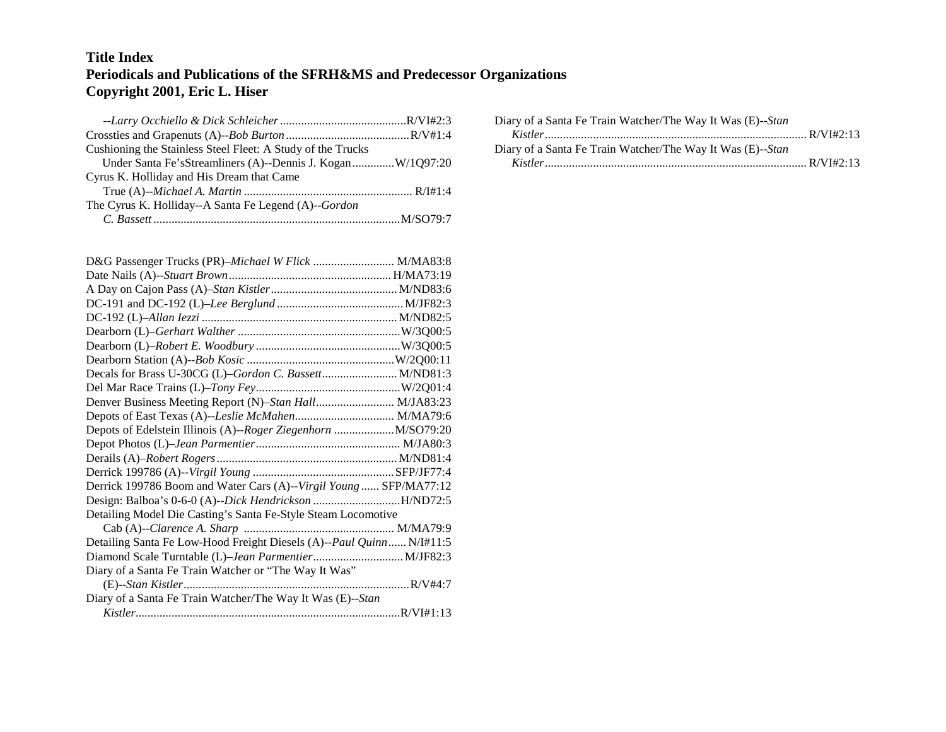| Cushioning the Stainless Steel Fleet: A Study of the Trucks |  |
|-------------------------------------------------------------|--|
| Under Santa Fe'sStreamliners (A)--Dennis J. KoganW/1Q97:20  |  |
| Cyrus K. Holliday and His Dream that Came                   |  |
|                                                             |  |
| The Cyrus K. Holliday--A Santa Fe Legend (A)--Gordon        |  |
|                                                             |  |

| D&G Passenger Trucks (PR)–Michael W Flick  M/MA83:8                  |  |
|----------------------------------------------------------------------|--|
|                                                                      |  |
|                                                                      |  |
|                                                                      |  |
|                                                                      |  |
|                                                                      |  |
|                                                                      |  |
|                                                                      |  |
| Decals for Brass U-30CG (L)-Gordon C. Bassett M/ND81:3               |  |
|                                                                      |  |
| Denver Business Meeting Report (N)-Stan Hall M/JA83:23               |  |
| Depots of East Texas (A)--Leslie McMahen M/MA79:6                    |  |
| Depots of Edelstein Illinois (A)--Roger Ziegenhorn  M/SO79:20        |  |
|                                                                      |  |
|                                                                      |  |
|                                                                      |  |
| Derrick 199786 Boom and Water Cars (A)--Virgil Young  SFP/MA77:12    |  |
| Design: Balboa's 0-6-0 (A)--Dick Hendrickson H/ND72:5                |  |
| Detailing Model Die Casting's Santa Fe-Style Steam Locomotive        |  |
|                                                                      |  |
| Detailing Santa Fe Low-Hood Freight Diesels (A)--Paul Quinn N/I#11:5 |  |
|                                                                      |  |
| Diary of a Santa Fe Train Watcher or "The Way It Was"                |  |
|                                                                      |  |
| Diary of a Santa Fe Train Watcher/The Way It Was (E)--Stan           |  |
|                                                                      |  |

| Diary of a Santa Fe Train Watcher/The Way It Was (E)--Stan |  |
|------------------------------------------------------------|--|
|                                                            |  |
| Diary of a Santa Fe Train Watcher/The Way It Was (E)--Stan |  |
|                                                            |  |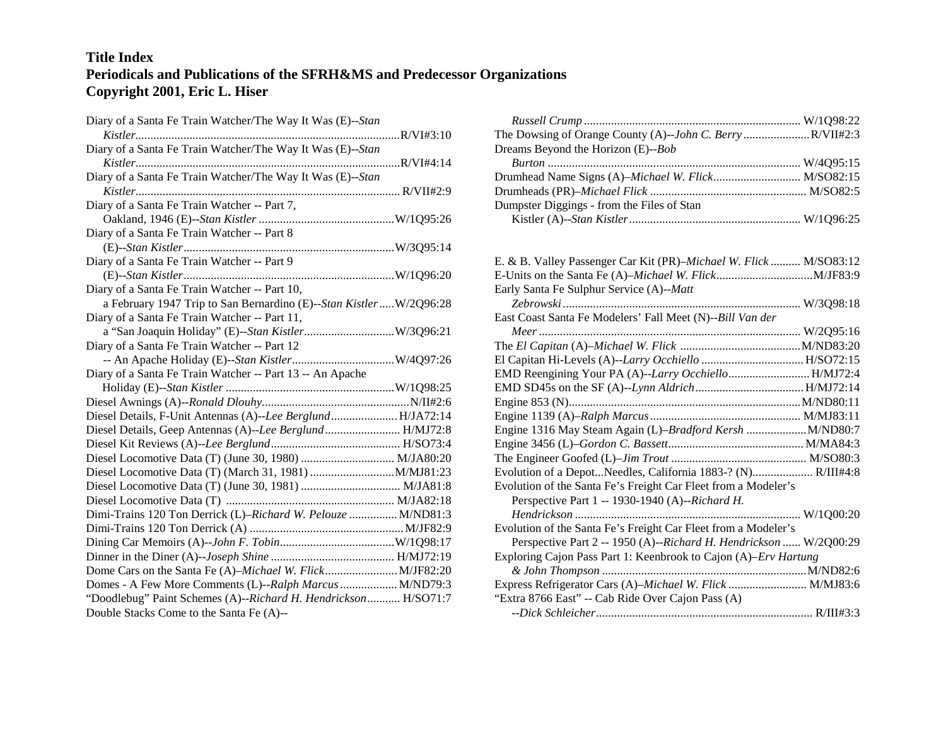Diary of a Santa Fe Train Watcher/The Way It Was (E)--*Stan Kistler........................................................................................*R/VI#3:10 Diary of a Santa Fe Train Watcher/The Way It Was (E)--*Stan Kistler*........................................................................................R/VI#4:14Diary of a Santa Fe Train Watcher/The Way It Was (E)--*Stan Kistler*........................................................................................ R/VII#2:9Diary of a Santa Fe Train Watcher -- Part 7, Oakland, 1946 (E)--*Stan Kistler* .............................................W/1Q95:26 Diary of a Santa Fe Train Watcher -- Part 8 (E)--*Stan Kistler*......................................................................W/3Q95:14 Diary of a Santa Fe Train Watcher -- Part 9 (E)--*Stan Kistler*......................................................................W/1Q96:20 Diary of a Santa Fe Train Watcher -- Part 10, a February 1947 Trip to San Bernardino (E)--*Stan Kistler*.....W/2Q96:28 Diary of a Santa Fe Train Watcher -- Part 11, <sup>a</sup>"San Joaquin Holiday" (E)--*Stan Kistler*..............................W/3Q96:21 Diary of a Santa Fe Train Watcher -- Part 12 -- An Apache Holiday (E)--*Stan Kistler*..................................W/4Q97:26 Diary of a Santa Fe Train Watcher -- Part 13 -- An Apache Holiday (E)--*Stan Kistler* ........................................................W/1Q98:25 Diesel Awnings (A)--*Ronald Dlouhy*.................................................N/II#2:6 Diesel Details, F-Unit Antennas (A)--*Lee Berglund*...................... H/JA72:14 Diesel Details, Geep Antennas (A)--*Lee Berglund*......................... H/MJ72:8 Diesel Kit Reviews (A)--*Lee Berglund*........................................... H/SO73:4 Diesel Locomotive Data (T) (June 30, 1980) ............................... M/JA80:20 Diesel Locomotive Data (T) (March 31, 1981) ............................M/MJ81:23 Diesel Locomotive Data (T) (June 30, 1981) ................................. M/JA81:8 Diesel Locomotive Data (T) ........................................................ M/JA82:18 Dimi-Trains 120 Ton Derrick (L)–*Richard W. Pelouze* ................ M/ND81:3 Dimi-Trains 120 Ton Derrick (A) ................................................... M/JF82:9 Dining Car Memoirs (A)--*John F. Tobin*......................................W/1Q98:17 Dinner in the Diner (A)--*Joseph Shine* ......................................... H/MJ72:19 Dome Cars on the Santa Fe (A)–*Michael W. Flick*........................ M/JF82:20 Domes - A Few More Comments (L)*--Ralph Marcus*................... M/ND79:3 "Doodlebug" Paint Schemes (A)--*Richard H. Hendrickson*........... H/SO71:7 Double Stacks Come to the Santa Fe (A)--

| The Dowsing of Orange County (A)--John C. Berry R/VII#2:3         |  |
|-------------------------------------------------------------------|--|
| Dreams Beyond the Horizon (E)--Bob                                |  |
|                                                                   |  |
| Drumhead Name Signs (A)-Michael W. Flick M/SO82:15                |  |
|                                                                   |  |
| Dumpster Diggings - from the Files of Stan                        |  |
|                                                                   |  |
|                                                                   |  |
| E. & B. Valley Passenger Car Kit (PR)–Michael W. Flick M/SO83:12  |  |
|                                                                   |  |
| Early Santa Fe Sulphur Service (A)--Matt                          |  |
|                                                                   |  |
| East Coast Santa Fe Modelers' Fall Meet (N)--Bill Van der         |  |
|                                                                   |  |
|                                                                   |  |
|                                                                   |  |
| EMD Reengining Your PA (A)--Larry OcchielloH/MJ72:4               |  |
|                                                                   |  |
|                                                                   |  |
|                                                                   |  |
| Engine 1316 May Steam Again (L)-Bradford Kersh  M/ND80:7          |  |
|                                                                   |  |
|                                                                   |  |
| Evolution of a DepotNeedles, California 1883-? (N) R/III#4:8      |  |
| Evolution of the Santa Fe's Freight Car Fleet from a Modeler's    |  |
| Perspective Part 1 -- 1930-1940 (A)--Richard H.                   |  |
|                                                                   |  |
| Evolution of the Santa Fe's Freight Car Fleet from a Modeler's    |  |
| Perspective Part 2 -- 1950 (A)--Richard H. Hendrickson  W/2Q00:29 |  |
| Exploring Cajon Pass Part 1: Keenbrook to Cajon (A)–Erv Hartung   |  |
|                                                                   |  |
| Express Refrigerator Cars (A)-Michael W. Flick  M/MJ83:6          |  |
| "Extra 8766 East" -- Cab Ride Over Cajon Pass (A)                 |  |
|                                                                   |  |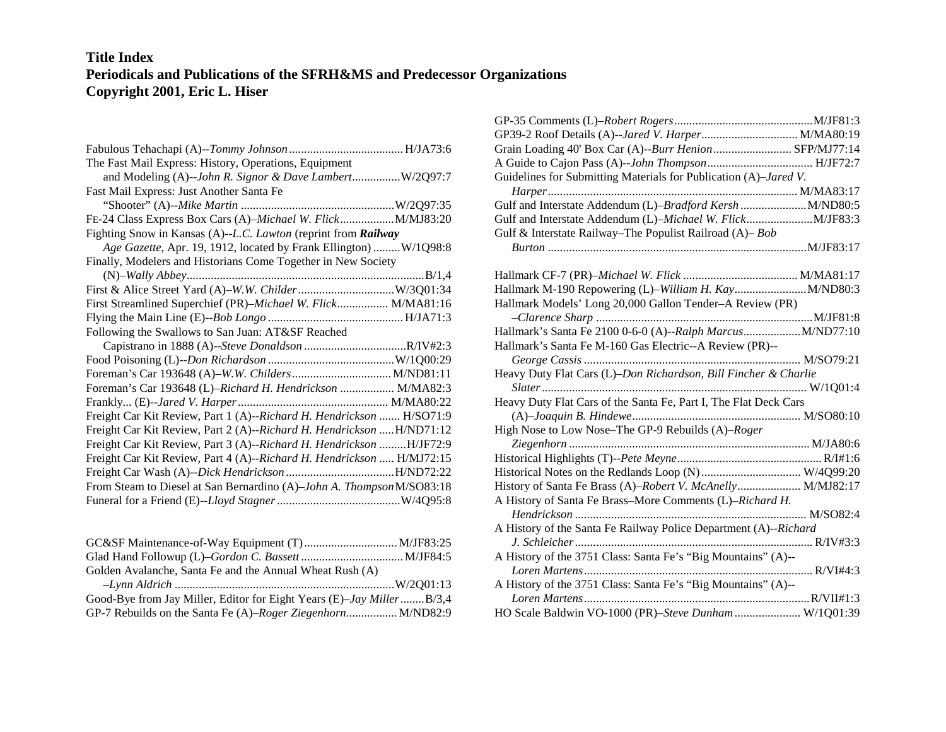| The Fast Mail Express: History, Operations, Equipment                 |  |
|-----------------------------------------------------------------------|--|
| and Modeling (A)--John R. Signor & Dave LambertW/2Q97:7               |  |
| Fast Mail Express: Just Another Santa Fe                              |  |
|                                                                       |  |
|                                                                       |  |
| Fighting Snow in Kansas (A)--L.C. Lawton (reprint from Railway        |  |
| Age Gazette, Apr. 19, 1912, located by Frank Ellington)  W/1Q98:8     |  |
| Finally, Modelers and Historians Come Together in New Society         |  |
|                                                                       |  |
|                                                                       |  |
| First Streamlined Superchief (PR)-Michael W. Flick M/MA81:16          |  |
|                                                                       |  |
| Following the Swallows to San Juan: AT&SF Reached                     |  |
|                                                                       |  |
|                                                                       |  |
|                                                                       |  |
| Foreman's Car 193648 (L)-Richard H. Hendrickson  M/MA82:3             |  |
|                                                                       |  |
| Freight Car Kit Review, Part 1 (A)--Richard H. Hendrickson  H/SO71:9  |  |
| Freight Car Kit Review, Part 2 (A)--Richard H. Hendrickson  H/ND71:12 |  |
| Freight Car Kit Review, Part 3 (A)--Richard H. Hendrickson  H/JF72:9  |  |
| Freight Car Kit Review, Part 4 (A)--Richard H. Hendrickson  H/MJ72:15 |  |
|                                                                       |  |
| From Steam to Diesel at San Bernardino (A)-John A. Thompson M/SO83:18 |  |
|                                                                       |  |
|                                                                       |  |

| Golden Avalanche, Santa Fe and the Annual Wheat Rush (A)               |  |
|------------------------------------------------------------------------|--|
|                                                                        |  |
| Good-Bye from Jay Miller, Editor for Eight Years (E)-Jay Miller  B/3,4 |  |
| GP-7 Rebuilds on the Santa Fe (A)–Roger Ziegenhorn M/ND82:9            |  |

| GP39-2 Roof Details (A)--Jared V. Harper M/MA80:19               |  |
|------------------------------------------------------------------|--|
| Grain Loading 40' Box Car (A)--Burr Henion SFP/MJ77:14           |  |
|                                                                  |  |
| Guidelines for Submitting Materials for Publication (A)-Jared V. |  |
|                                                                  |  |
| Gulf and Interstate Addendum (L)-Bradford Kersh  M/ND80:5        |  |
| Gulf and Interstate Addendum (L)-Michael W. Flick M/JF83:3       |  |
| Gulf & Interstate Railway–The Populist Railroad (A)– Bob         |  |
|                                                                  |  |
|                                                                  |  |
|                                                                  |  |
| Hallmark Models' Long 20,000 Gallon Tender-A Review (PR)         |  |
|                                                                  |  |
|                                                                  |  |
| Hallmark's Santa Fe M-160 Gas Electric--A Review (PR)--          |  |
|                                                                  |  |
| Heavy Duty Flat Cars (L)-Don Richardson, Bill Fincher & Charlie  |  |
|                                                                  |  |
| Heavy Duty Flat Cars of the Santa Fe, Part I, The Flat Deck Cars |  |
|                                                                  |  |
| High Nose to Low Nose-The GP-9 Rebuilds (A)-Roger                |  |
|                                                                  |  |
|                                                                  |  |
|                                                                  |  |
| History of Santa Fe Brass (A)-Robert V. McAnelly M/MJ82:17       |  |
| A History of Santa Fe Brass-More Comments (L)-Richard H.         |  |
|                                                                  |  |
| A History of the Santa Fe Railway Police Department (A)--Richard |  |
|                                                                  |  |
| A History of the 3751 Class: Santa Fe's "Big Mountains" (A)--    |  |
|                                                                  |  |
| A History of the 3751 Class: Santa Fe's "Big Mountains" (A)--    |  |
|                                                                  |  |
| HO Scale Baldwin VO-1000 (PR)-Steve Dunham  W/1Q01:39            |  |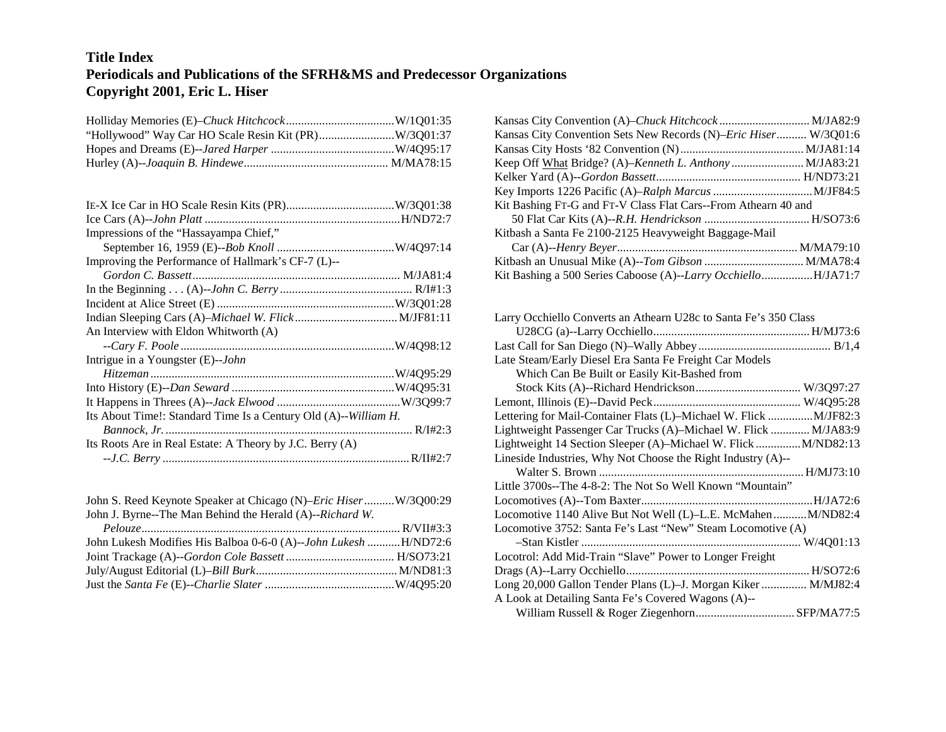| Impressions of the "Hassayampa Chief,"                          |  |
|-----------------------------------------------------------------|--|
|                                                                 |  |
| Improving the Performance of Hallmark's CF-7 (L)--              |  |
|                                                                 |  |
|                                                                 |  |
|                                                                 |  |
|                                                                 |  |
| An Interview with Eldon Whitworth (A)                           |  |
|                                                                 |  |
| Intrigue in a Youngster (E)--John                               |  |
|                                                                 |  |
|                                                                 |  |
|                                                                 |  |
| Its About Time!: Standard Time Is a Century Old (A)--William H. |  |
|                                                                 |  |
| Its Roots Are in Real Estate: A Theory by J.C. Berry (A)        |  |
|                                                                 |  |
|                                                                 |  |

| John S. Reed Keynote Speaker at Chicago (N)–Eric HiserW/3Q00:29 |  |
|-----------------------------------------------------------------|--|
| John J. Byrne--The Man Behind the Herald (A)--Richard W.        |  |
|                                                                 |  |
| John Lukesh Modifies His Balboa 0-6-0 (A)--John Lukesh H/ND72:6 |  |
|                                                                 |  |
|                                                                 |  |
|                                                                 |  |

| Kansas City Convention Sets New Records (N)-Eric Hiser W/3Q01:6 |  |
|-----------------------------------------------------------------|--|
|                                                                 |  |
|                                                                 |  |
|                                                                 |  |
|                                                                 |  |
| Kit Bashing Fr-G and Fr-V Class Flat Cars--From Athearn 40 and  |  |
|                                                                 |  |
| Kitbash a Santa Fe 2100-2125 Heavyweight Baggage-Mail           |  |
|                                                                 |  |
|                                                                 |  |
| Kit Bashing a 500 Series Caboose (A)--Larry OcchielloH/JA71:7   |  |

| Larry Occhiello Converts an Athearn U28c to Santa Fe's 350 Class  |  |
|-------------------------------------------------------------------|--|
|                                                                   |  |
|                                                                   |  |
| Late Steam/Early Diesel Era Santa Fe Freight Car Models           |  |
| Which Can Be Built or Easily Kit-Bashed from                      |  |
|                                                                   |  |
|                                                                   |  |
| Lettering for Mail-Container Flats (L)-Michael W. Flick  M/JF82:3 |  |
| Lightweight Passenger Car Trucks (A)–Michael W. Flick  M/JA83:9   |  |
| Lightweight 14 Section Sleeper (A)–Michael W. Flick  M/ND82:13    |  |
| Lineside Industries, Why Not Choose the Right Industry (A)--      |  |
|                                                                   |  |
| Little 3700s--The 4-8-2: The Not So Well Known "Mountain"         |  |
|                                                                   |  |
| Locomotive 1140 Alive But Not Well (L)-L.E. McMahenM/ND82:4       |  |
| Locomotive 3752: Santa Fe's Last "New" Steam Locomotive (A)       |  |
|                                                                   |  |
| Locotrol: Add Mid-Train "Slave" Power to Longer Freight           |  |
|                                                                   |  |
| Long 20,000 Gallon Tender Plans (L)-J. Morgan Kiker  M/MJ82:4     |  |
| A Look at Detailing Santa Fe's Covered Wagons (A)--               |  |
|                                                                   |  |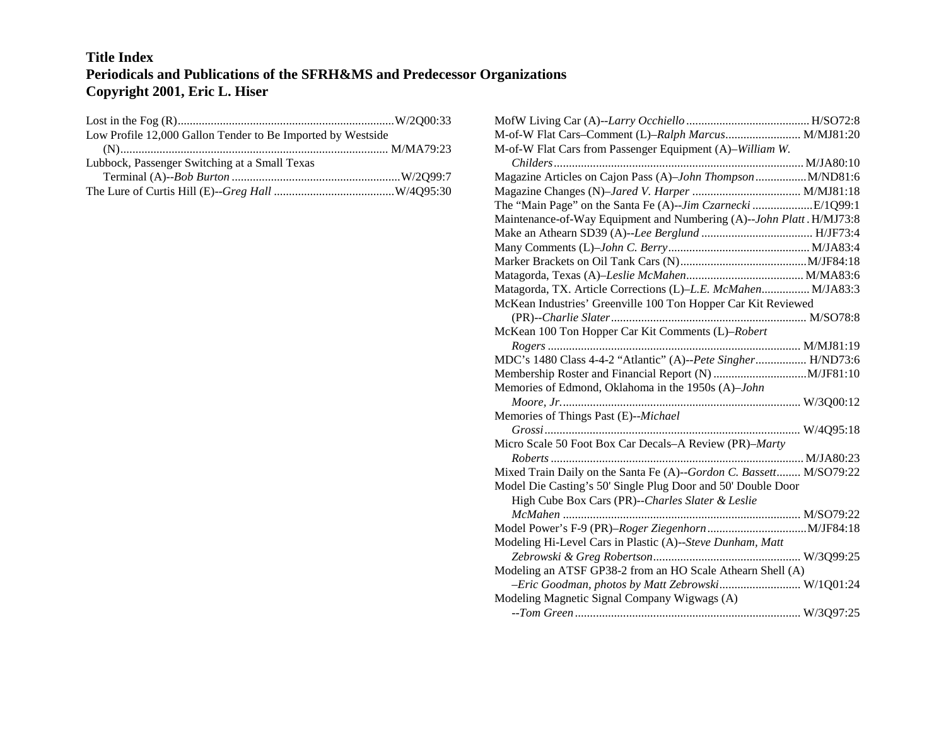| Low Profile 12,000 Gallon Tender to Be Imported by Westside |  |
|-------------------------------------------------------------|--|
|                                                             |  |
| Lubbock, Passenger Switching at a Small Texas               |  |
|                                                             |  |
|                                                             |  |

| M-of-W Flat Cars-Comment (L)-Ralph Marcus M/MJ81:20                  |  |
|----------------------------------------------------------------------|--|
| M-of-W Flat Cars from Passenger Equipment (A)–William W.             |  |
|                                                                      |  |
| Magazine Articles on Cajon Pass (A)-John Thompson  M/ND81:6          |  |
|                                                                      |  |
|                                                                      |  |
| Maintenance-of-Way Equipment and Numbering (A)--John Platt. H/MJ73:8 |  |
|                                                                      |  |
|                                                                      |  |
|                                                                      |  |
|                                                                      |  |
| Matagorda, TX. Article Corrections (L)-L.E. McMahen M/JA83:3         |  |
| McKean Industries' Greenville 100 Ton Hopper Car Kit Reviewed        |  |
|                                                                      |  |
| McKean 100 Ton Hopper Car Kit Comments (L)-Robert                    |  |
|                                                                      |  |
| MDC's 1480 Class 4-4-2 "Atlantic" (A)--Pete Singher H/ND73:6         |  |
|                                                                      |  |
| Memories of Edmond, Oklahoma in the 1950s (A)-John                   |  |
|                                                                      |  |
| Memories of Things Past (E)--Michael                                 |  |
|                                                                      |  |
| Micro Scale 50 Foot Box Car Decals-A Review (PR)-Marty               |  |
|                                                                      |  |
| Mixed Train Daily on the Santa Fe (A)--Gordon C. Bassett M/SO79:22   |  |
| Model Die Casting's 50' Single Plug Door and 50' Double Door         |  |
| High Cube Box Cars (PR)--Charles Slater & Leslie                     |  |
|                                                                      |  |
|                                                                      |  |
| Modeling Hi-Level Cars in Plastic (A)--Steve Dunham, Matt            |  |
|                                                                      |  |
| Modeling an ATSF GP38-2 from an HO Scale Athearn Shell (A)           |  |
| -Eric Goodman, photos by Matt Zebrowski W/1Q01:24                    |  |
| Modeling Magnetic Signal Company Wigwags (A)                         |  |
|                                                                      |  |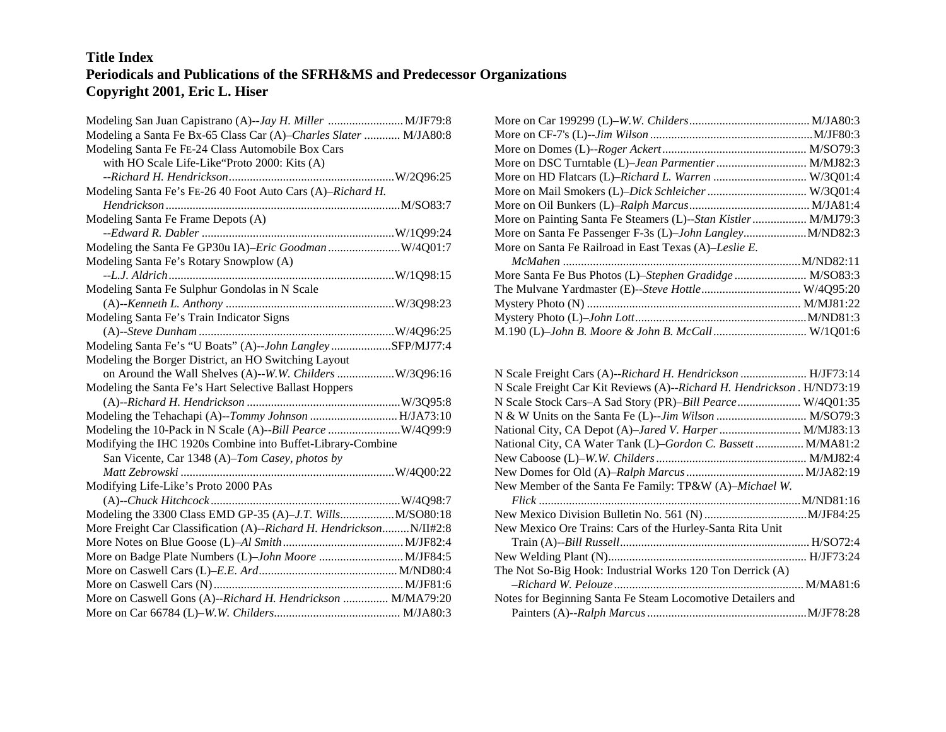| Modeling San Juan Capistrano (A)--Jay H. Miller  M/JF79:8            |  |
|----------------------------------------------------------------------|--|
| Modeling a Santa Fe Bx-65 Class Car (A)-Charles Slater  M/JA80:8     |  |
| Modeling Santa Fe FE-24 Class Automobile Box Cars                    |  |
| with HO Scale Life-Like 'Proto 2000: Kits (A)                        |  |
|                                                                      |  |
| Modeling Santa Fe's FE-26 40 Foot Auto Cars (A)-Richard H.           |  |
|                                                                      |  |
| Modeling Santa Fe Frame Depots (A)                                   |  |
|                                                                      |  |
| Modeling the Santa Fe GP30u IA)-Eric Goodman  W/4Q01:7               |  |
| Modeling Santa Fe's Rotary Snowplow (A)                              |  |
|                                                                      |  |
| Modeling Santa Fe Sulphur Gondolas in N Scale                        |  |
|                                                                      |  |
| Modeling Santa Fe's Train Indicator Signs                            |  |
|                                                                      |  |
| Modeling Santa Fe's "U Boats" (A)--John LangleySFP/MJ77:4            |  |
| Modeling the Borger District, an HO Switching Layout                 |  |
| on Around the Wall Shelves (A)--W.W. Childers W/3Q96:16              |  |
| Modeling the Santa Fe's Hart Selective Ballast Hoppers               |  |
|                                                                      |  |
| Modeling the Tehachapi (A)--Tommy Johnson H/JA73:10                  |  |
| Modeling the 10-Pack in N Scale (A)--Bill Pearce  W/4Q99:9           |  |
| Modifying the IHC 1920s Combine into Buffet-Library-Combine          |  |
| San Vicente, Car 1348 (A)–Tom Casey, photos by                       |  |
|                                                                      |  |
| Modifying Life-Like's Proto 2000 PAs                                 |  |
|                                                                      |  |
|                                                                      |  |
| More Freight Car Classification (A)--Richard H. Hendrickson N/II#2:8 |  |
|                                                                      |  |
|                                                                      |  |
|                                                                      |  |
|                                                                      |  |
| More on Caswell Gons (A)--Richard H. Hendrickson  M/MA79:20          |  |
|                                                                      |  |

| More on DSC Turntable (L)-Jean Parmentier  M/MJ82:3           |  |
|---------------------------------------------------------------|--|
| More on HD Flatcars (L)-Richard L. Warren  W/3Q01:4           |  |
|                                                               |  |
|                                                               |  |
| More on Painting Santa Fe Steamers (L)--Stan Kistler M/MJ79:3 |  |
|                                                               |  |
| More on Santa Fe Railroad in East Texas (A)–Leslie E.         |  |
|                                                               |  |
| More Santa Fe Bus Photos (L)-Stephen Gradidge  M/SO83:3       |  |
|                                                               |  |
|                                                               |  |
|                                                               |  |
|                                                               |  |
|                                                               |  |
|                                                               |  |

| N Scale Freight Cars (A)--Richard H. Hendrickson  H/JF73:14             |  |
|-------------------------------------------------------------------------|--|
| N Scale Freight Car Kit Reviews (A)--Richard H. Hendrickson . H/ND73:19 |  |
| N Scale Stock Cars-A Sad Story (PR)-Bill Pearce W/4Q01:35               |  |
|                                                                         |  |
| National City, CA Depot (A)-Jared V. Harper  M/MJ83:13                  |  |
| National City, CA Water Tank (L)-Gordon C. Bassett  M/MA81:2            |  |
|                                                                         |  |
|                                                                         |  |
| New Member of the Santa Fe Family: TP&W (A)-Michael W.                  |  |
|                                                                         |  |
|                                                                         |  |
|                                                                         |  |
| New Mexico Ore Trains: Cars of the Hurley-Santa Rita Unit               |  |
|                                                                         |  |
|                                                                         |  |
| The Not So-Big Hook: Industrial Works 120 Ton Derrick (A)               |  |
|                                                                         |  |
| Notes for Beginning Santa Fe Steam Locomotive Detailers and             |  |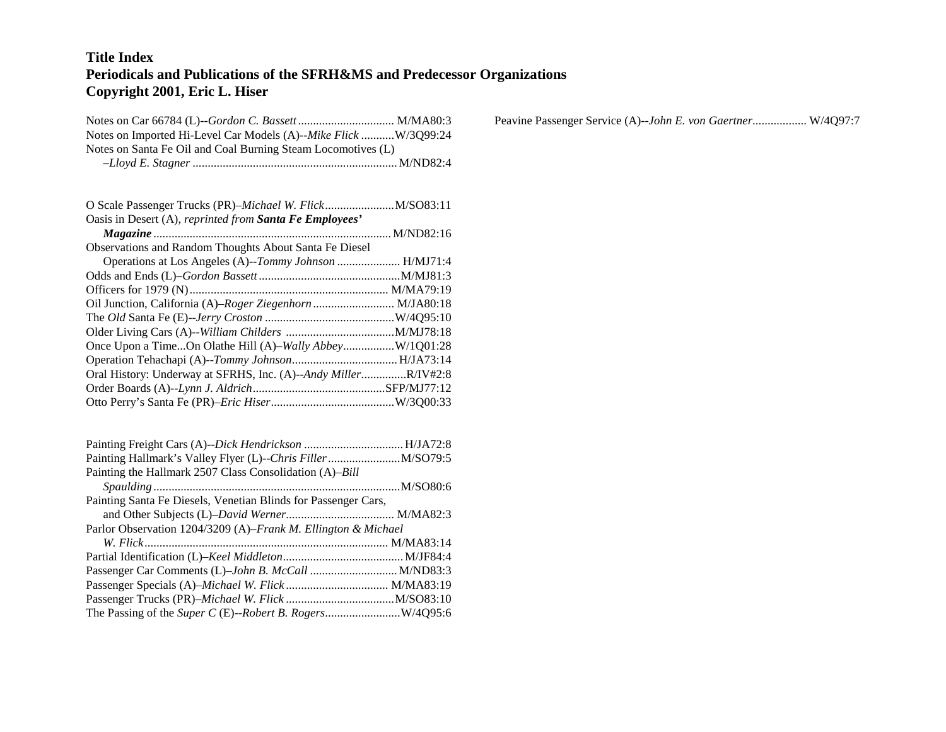Notes on Car 66784 (L)--*Gordon C. Bassett*................................ M/MA80:3 Notes on Imported Hi-Level Car Models (A)--*Mike Flick* ...........W/3Q99:24 Notes on Santa Fe Oil and Coal Burning Steam Locomotives (L) –*Lloyd E. Stagner* .................................................................... M/ND82:4

| Oasis in Desert (A), reprinted from Santa Fe Employees'        |  |
|----------------------------------------------------------------|--|
|                                                                |  |
| <b>Observations and Random Thoughts About Santa Fe Diesel</b>  |  |
| Operations at Los Angeles (A)--Tommy Johnson  H/MJ71:4         |  |
|                                                                |  |
|                                                                |  |
| Oil Junction, California (A)-Roger Ziegenhorn  M/JA80:18       |  |
|                                                                |  |
|                                                                |  |
| Once Upon a TimeOn Olathe Hill (A)–Wally AbbeyW/1Q01:28        |  |
|                                                                |  |
| Oral History: Underway at SFRHS, Inc. (A)--Andy MillerR/IV#2:8 |  |
|                                                                |  |
|                                                                |  |

| Painting the Hallmark 2507 Class Consolidation (A)-Bill        |  |
|----------------------------------------------------------------|--|
|                                                                |  |
| Painting Santa Fe Diesels, Venetian Blinds for Passenger Cars, |  |
|                                                                |  |
| Parlor Observation 1204/3209 (A)–Frank M. Ellington & Michael  |  |
|                                                                |  |
|                                                                |  |
|                                                                |  |
|                                                                |  |
|                                                                |  |
|                                                                |  |

Peavine Passenger Service (A)--*John E. von Gaertner*.................. W/4Q97:7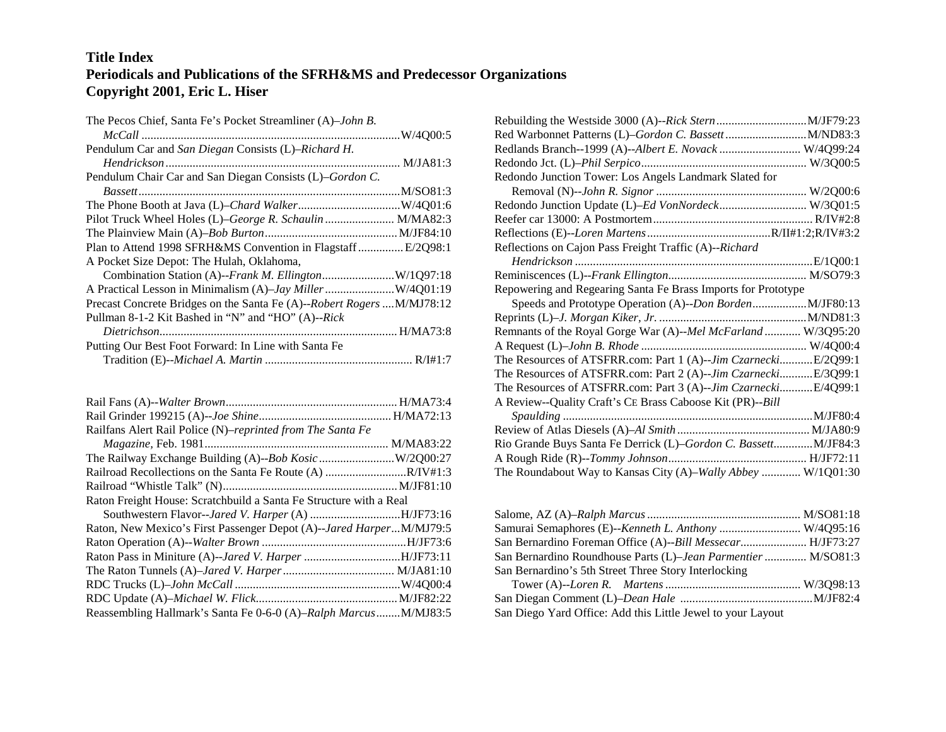The Pecos Chief, Santa Fe's Pocket Streamliner (A)–*John B.*

| Pendulum Car and San Diegan Consists (L)-Richard H.                   |  |
|-----------------------------------------------------------------------|--|
|                                                                       |  |
| Pendulum Chair Car and San Diegan Consists (L)–Gordon C.              |  |
|                                                                       |  |
|                                                                       |  |
| Pilot Truck Wheel Holes (L)–George R. Schaulin  M/MA82:3              |  |
|                                                                       |  |
| Plan to Attend 1998 SFRH&MS Convention in Flagstaff E/2Q98:1          |  |
| A Pocket Size Depot: The Hulah, Oklahoma,                             |  |
|                                                                       |  |
|                                                                       |  |
| Precast Concrete Bridges on the Santa Fe (A)--Robert Rogers M/MJ78:12 |  |
| Pullman 8-1-2 Kit Bashed in "N" and "HO" (A)--Rick                    |  |
|                                                                       |  |
| Putting Our Best Foot Forward: In Line with Santa Fe                  |  |
|                                                                       |  |

| Railfans Alert Rail Police (N)–reprinted from The Santa Fe          |  |
|---------------------------------------------------------------------|--|
|                                                                     |  |
|                                                                     |  |
|                                                                     |  |
|                                                                     |  |
| Raton Freight House: Scratchbuild a Santa Fe Structure with a Real  |  |
| Southwestern Flavor--Jared V. Harper (A) H/JF73:16                  |  |
| Raton, New Mexico's First Passenger Depot (A)--Jared HarperM/MJ79:5 |  |
|                                                                     |  |
| Raton Pass in Miniture (A)--Jared V. Harper H/JF73:11               |  |
|                                                                     |  |
|                                                                     |  |
|                                                                     |  |
| Reassembling Hallmark's Santa Fe 0-6-0 (A)–Ralph MarcusM/MJ83:5     |  |

| Redlands Branch--1999 (A)--Albert E. Novack  W/4Q99:24          |  |
|-----------------------------------------------------------------|--|
|                                                                 |  |
| Redondo Junction Tower: Los Angels Landmark Slated for          |  |
|                                                                 |  |
| Redondo Junction Update (L)-Ed VonNordeck W/3Q01:5              |  |
|                                                                 |  |
|                                                                 |  |
| Reflections on Cajon Pass Freight Traffic (A)--Richard          |  |
|                                                                 |  |
|                                                                 |  |
| Repowering and Regearing Santa Fe Brass Imports for Prototype   |  |
| Speeds and Prototype Operation (A)--Don Borden M/JF80:13        |  |
|                                                                 |  |
| Remnants of the Royal Gorge War (A)--Mel McFarland  W/3Q95:20   |  |
|                                                                 |  |
| The Resources of ATSFRR.com: Part 1 (A)--Jim CzarneckiE/2Q99:1  |  |
| The Resources of ATSFRR.com: Part 2 (A)--Jim CzarneckiE/3Q99:1  |  |
| The Resources of ATSFRR.com: Part 3 (A)--Jim CzarneckiE/4Q99:1  |  |
| A Review--Quality Craft's CE Brass Caboose Kit (PR)--Bill       |  |
|                                                                 |  |
|                                                                 |  |
| Rio Grande Buys Santa Fe Derrick (L)-Gordon C. Bassett M/JF84:3 |  |
|                                                                 |  |
| The Roundabout Way to Kansas City (A)-Wally Abbey  W/1Q01:30    |  |
|                                                                 |  |

| Samurai Semaphores (E)-- <i>Kenneth L. Anthony </i> W/4Q95:16 |           |
|---------------------------------------------------------------|-----------|
|                                                               |           |
| San Bernardino Roundhouse Parts (L)–Jean Parmentier  M/SO81:3 |           |
| San Bernardino's 5th Street Three Story Interlocking          |           |
| $T_{\alpha\alpha\beta}(A)$ Long D Mantona                     | W/2000.12 |

|  | San Diego Yard Office: Add this Little Jewel to your Layout |  |
|--|-------------------------------------------------------------|--|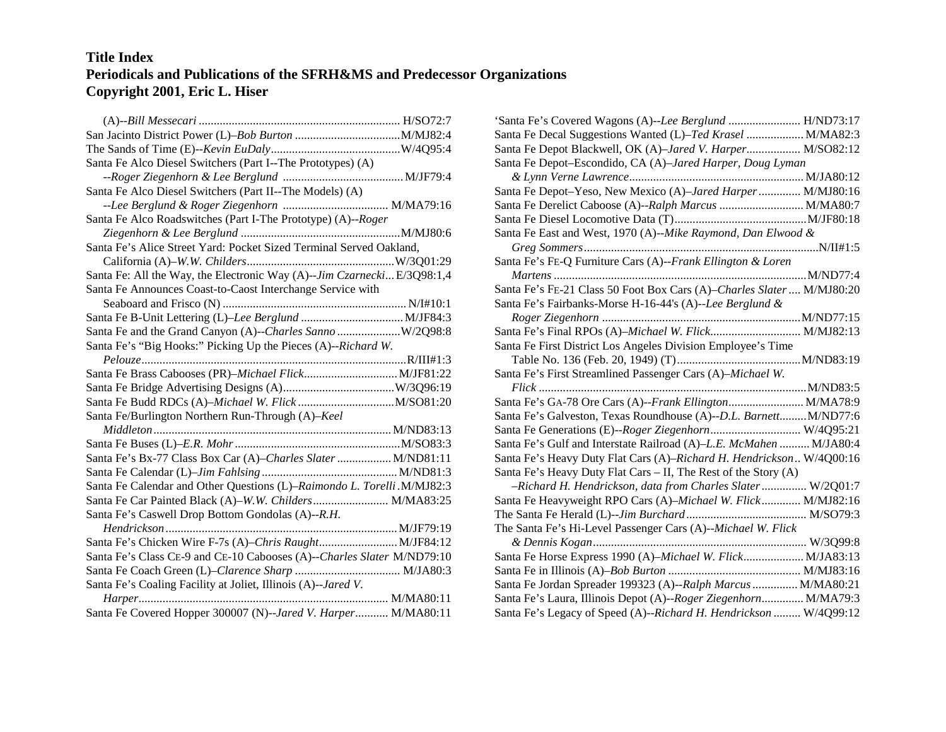| Santa Fe Alco Diesel Switchers (Part I--The Prototypes) (A)             |  |
|-------------------------------------------------------------------------|--|
|                                                                         |  |
| Santa Fe Alco Diesel Switchers (Part II--The Models) (A)                |  |
|                                                                         |  |
| Santa Fe Alco Roadswitches (Part I-The Prototype) (A)--Roger            |  |
|                                                                         |  |
| Santa Fe's Alice Street Yard: Pocket Sized Terminal Served Oakland,     |  |
|                                                                         |  |
| Santa Fe: All the Way, the Electronic Way (A)--Jim Czarnecki E/3Q98:1,4 |  |
| Santa Fe Announces Coast-to-Caost Interchange Service with              |  |
|                                                                         |  |
|                                                                         |  |
|                                                                         |  |
| Santa Fe's "Big Hooks:" Picking Up the Pieces (A)--Richard W.           |  |
|                                                                         |  |
|                                                                         |  |
|                                                                         |  |
|                                                                         |  |
| Santa Fe/Burlington Northern Run-Through (A)-Keel                       |  |
|                                                                         |  |
|                                                                         |  |
| Santa Fe's Bx-77 Class Box Car (A)-Charles Slater  M/ND81:11            |  |
|                                                                         |  |
| Santa Fe Calendar and Other Questions (L)-Raimondo L. Torelli.M/MJ82:3  |  |
| Santa Fe Car Painted Black (A)-W.W. Childers M/MA83:25                  |  |
| Santa Fe's Caswell Drop Bottom Gondolas (A)--R.H.                       |  |
|                                                                         |  |
|                                                                         |  |
| Santa Fe's Class CE-9 and CE-10 Cabooses (A)--Charles Slater M/ND79:10  |  |
|                                                                         |  |
| Santa Fe's Coaling Facility at Joliet, Illinois (A)--Jared V.           |  |
|                                                                         |  |
| Santa Fe Covered Hopper 300007 (N)--Jared V. Harper M/MA80:11           |  |

| 'Santa Fe's Covered Wagons (A)--Lee Berglund  H/ND73:17               |  |
|-----------------------------------------------------------------------|--|
| Santa Fe Decal Suggestions Wanted (L)-Ted Krasel  M/MA82:3            |  |
| Santa Fe Depot Blackwell, OK (A)-Jared V. Harper M/SO82:12            |  |
| Santa Fe Depot-Escondido, CA (A)-Jared Harper, Doug Lyman             |  |
|                                                                       |  |
| Santa Fe Depot-Yeso, New Mexico (A)-Jared Harper  M/MJ80:16           |  |
|                                                                       |  |
|                                                                       |  |
| Santa Fe East and West, 1970 (A)--Mike Raymond, Dan Elwood &          |  |
|                                                                       |  |
| Santa Fe's FE-Q Furniture Cars (A)--Frank Ellington & Loren           |  |
|                                                                       |  |
| Santa Fe's FE-21 Class 50 Foot Box Cars (A)-Charles Slater  M/MJ80:20 |  |
| Santa Fe's Fairbanks-Morse H-16-44's (A)--Lee Berglund &              |  |
|                                                                       |  |
| Santa Fe's Final RPOs (A)-Michael W. Flick M/MJ82:13                  |  |
| Santa Fe First District Los Angeles Division Employee's Time          |  |
|                                                                       |  |
| Santa Fe's First Streamlined Passenger Cars (A)-Michael W.            |  |
|                                                                       |  |
|                                                                       |  |
| Santa Fe's Galveston, Texas Roundhouse (A)--D.L. BarnettM/ND77:6      |  |
| Santa Fe Generations (E)--Roger Ziegenhorn W/4Q95:21                  |  |
| Santa Fe's Gulf and Interstate Railroad (A)-L.E. McMahen  M/JA80:4    |  |
| Santa Fe's Heavy Duty Flat Cars (A)-Richard H. Hendrickson W/4Q00:16  |  |
| Santa Fe's Heavy Duty Flat Cars - II, The Rest of the Story (A)       |  |
| -Richard H. Hendrickson, data from Charles Slater W/2Q01:7            |  |
| Santa Fe Heavyweight RPO Cars (A)-Michael W. Flick M/MJ82:16          |  |
|                                                                       |  |
| The Santa Fe's Hi-Level Passenger Cars (A)--Michael W. Flick          |  |
|                                                                       |  |
|                                                                       |  |
|                                                                       |  |
| Santa Fe Jordan Spreader 199323 (A)--Ralph Marcus  M/MA80:21          |  |
| Santa Fe's Laura, Illinois Depot (A)--Roger Ziegenhorn M/MA79:3       |  |
| Santa Fe's Legacy of Speed (A)--Richard H. Hendrickson  W/4Q99:12     |  |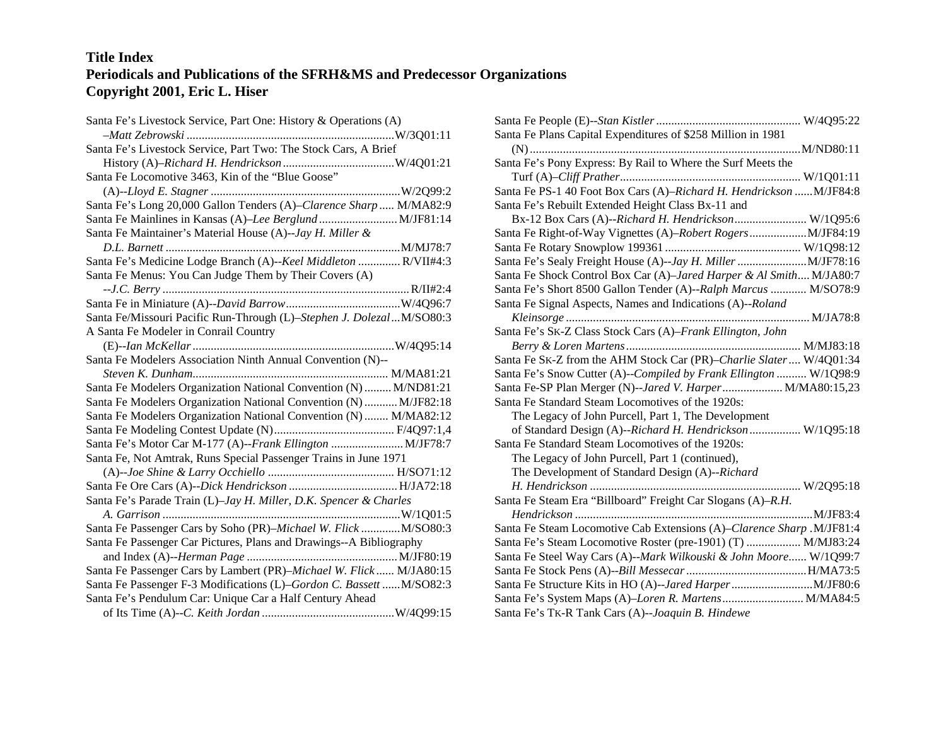| Santa Fe's Livestock Service, Part One: History & Operations (A)     |
|----------------------------------------------------------------------|
|                                                                      |
| Santa Fe's Livestock Service, Part Two: The Stock Cars, A Brief      |
|                                                                      |
| Santa Fe Locomotive 3463, Kin of the "Blue Goose"                    |
|                                                                      |
| Santa Fe's Long 20,000 Gallon Tenders (A)-Clarence Sharp  M/MA82:9   |
| Santa Fe Mainlines in Kansas (A)-Lee Berglund  M/JF81:14             |
| Santa Fe Maintainer's Material House (A)--Jay H. Miller &            |
|                                                                      |
| Santa Fe's Medicine Lodge Branch (A)--Keel Middleton  R/VII#4:3      |
| Santa Fe Menus: You Can Judge Them by Their Covers (A)               |
|                                                                      |
|                                                                      |
| Santa Fe/Missouri Pacific Run-Through (L)-Stephen J. DolezalM/SO80:3 |
| A Santa Fe Modeler in Conrail Country                                |
|                                                                      |
| Santa Fe Modelers Association Ninth Annual Convention (N)--          |
|                                                                      |
| Santa Fe Modelers Organization National Convention (N)  M/ND81:21    |
| Santa Fe Modelers Organization National Convention (N)  M/JF82:18    |
| Santa Fe Modelers Organization National Convention (N)  M/MA82:12    |
|                                                                      |
| Santa Fe's Motor Car M-177 (A)--Frank Ellington  M/JF78:7            |
| Santa Fe, Not Amtrak, Runs Special Passenger Trains in June 1971     |
|                                                                      |
|                                                                      |
| Santa Fe's Parade Train (L)-Jay H. Miller, D.K. Spencer & Charles    |
|                                                                      |
| Santa Fe Passenger Cars by Soho (PR)-Michael W. Flick  M/SO80:3      |
| Santa Fe Passenger Car Pictures, Plans and Drawings--A Bibliography  |
|                                                                      |
| Santa Fe Passenger Cars by Lambert (PR)-Michael W. Flick  M/JA80:15  |
| Santa Fe Passenger F-3 Modifications (L)-Gordon C. Bassett  M/SO82:3 |
| Santa Fe's Pendulum Car: Unique Car a Half Century Ahead             |
|                                                                      |

| Santa Fe Plans Capital Expenditures of \$258 Million in 1981          |  |
|-----------------------------------------------------------------------|--|
|                                                                       |  |
| Santa Fe's Pony Express: By Rail to Where the Surf Meets the          |  |
|                                                                       |  |
| Santa Fe PS-1 40 Foot Box Cars (A)-Richard H. Hendrickson  M/JF84:8   |  |
| Santa Fe's Rebuilt Extended Height Class Bx-11 and                    |  |
| Bx-12 Box Cars (A)--Richard H. Hendrickson W/1Q95:6                   |  |
|                                                                       |  |
|                                                                       |  |
|                                                                       |  |
| Santa Fe Shock Control Box Car (A)-Jared Harper & Al Smith M/JA80:7   |  |
| Santa Fe's Short 8500 Gallon Tender (A)--Ralph Marcus  M/SO78:9       |  |
| Santa Fe Signal Aspects, Names and Indications (A)--Roland            |  |
|                                                                       |  |
| Santa Fe's SK-Z Class Stock Cars (A)-Frank Ellington, John            |  |
|                                                                       |  |
| Santa Fe SK-Z from the AHM Stock Car (PR)-Charlie Slater W/4Q01:34    |  |
| Santa Fe's Snow Cutter (A)--Compiled by Frank Ellington  W/1Q98:9     |  |
| Santa Fe-SP Plan Merger (N)--Jared V. Harper M/MA80:15,23             |  |
| Santa Fe Standard Steam Locomotives of the 1920s:                     |  |
| The Legacy of John Purcell, Part 1, The Development                   |  |
| of Standard Design (A)--Richard H. Hendrickson  W/1Q95:18             |  |
| Santa Fe Standard Steam Locomotives of the 1920s:                     |  |
| The Legacy of John Purcell, Part 1 (continued),                       |  |
| The Development of Standard Design (A)--Richard                       |  |
|                                                                       |  |
| Santa Fe Steam Era "Billboard" Freight Car Slogans (A)-R.H.           |  |
|                                                                       |  |
| Santa Fe Steam Locomotive Cab Extensions (A)-Clarence Sharp .M/JF81:4 |  |
| Santa Fe's Steam Locomotive Roster (pre-1901) (T)  M/MJ83:24          |  |
| Santa Fe Steel Way Cars (A)--Mark Wilkouski & John Moore W/1Q99:7     |  |
|                                                                       |  |
|                                                                       |  |
| Santa Fe's System Maps (A)-Loren R. Martens M/MA84:5                  |  |
| Santa Fe's TK-R Tank Cars (A)--Joaquin B. Hindewe                     |  |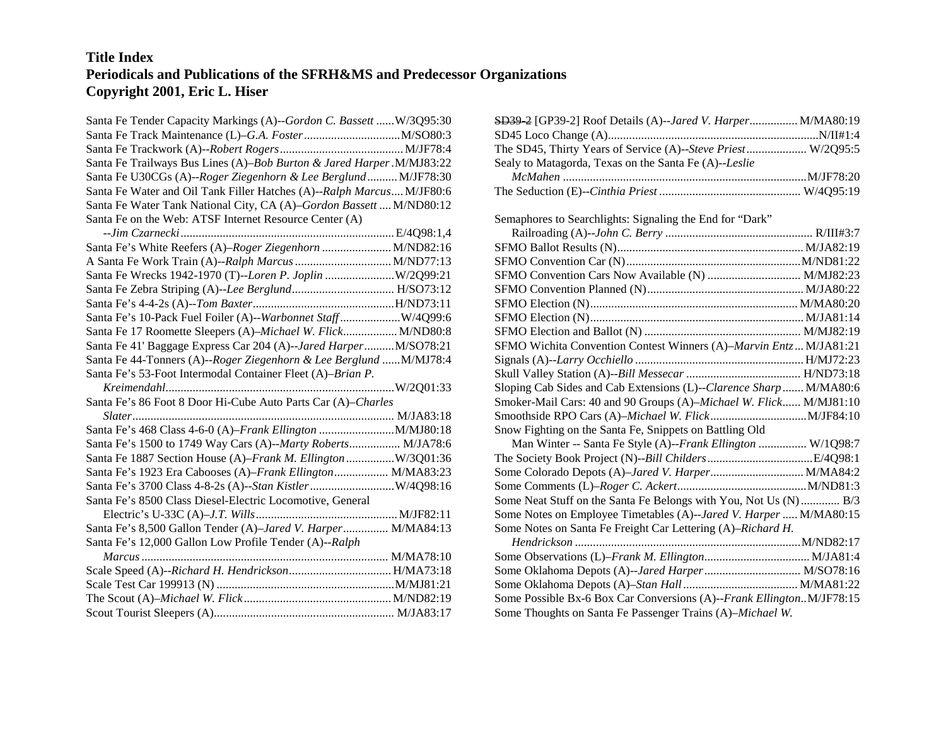| Santa Fe Tender Capacity Markings (A)--Gordon C. Bassett  W/3Q95:30   |  |
|-----------------------------------------------------------------------|--|
|                                                                       |  |
|                                                                       |  |
| Santa Fe Trailways Bus Lines (A)-Bob Burton & Jared Harper.M/MJ83:22  |  |
| Santa Fe U30CGs (A)--Roger Ziegenhorn & Lee Berglund M/JF78:30        |  |
| Santa Fe Water and Oil Tank Filler Hatches (A)--Ralph Marcus M/JF80:6 |  |
| Santa Fe Water Tank National City, CA (A)-Gordon Bassett  M/ND80:12   |  |
| Santa Fe on the Web: ATSF Internet Resource Center (A)                |  |
|                                                                       |  |
| Santa Fe's White Reefers (A)-Roger Ziegenhorn  M/ND82:16              |  |
|                                                                       |  |
| Santa Fe Wrecks 1942-1970 (T)--Loren P. Joplin  W/2Q99:21             |  |
|                                                                       |  |
|                                                                       |  |
| Santa Fe's 10-Pack Fuel Foiler (A)--Warbonnet Staff W/4Q99:6          |  |
| Santa Fe 17 Roomette Sleepers (A)–Michael W. Flick M/ND80:8           |  |
| Santa Fe 41' Baggage Express Car 204 (A)--Jared Harper M/SO78:21      |  |
| Santa Fe 44-Tonners (A)--Roger Ziegenhorn & Lee Berglund M/MJ78:4     |  |
| Santa Fe's 53-Foot Intermodal Container Fleet (A)-Brian P.            |  |
|                                                                       |  |
| Santa Fe's 86 Foot 8 Door Hi-Cube Auto Parts Car (A)-Charles          |  |
|                                                                       |  |
|                                                                       |  |
| Santa Fe's 1500 to 1749 Way Cars (A)--Marty Roberts M/JA78:6          |  |
| Santa Fe 1887 Section House (A)-Frank M. Ellington  W/3Q01:36         |  |
| Santa Fe's 1923 Era Cabooses (A)-Frank Ellington M/MA83:23            |  |
|                                                                       |  |
| Santa Fe's 8500 Class Diesel-Electric Locomotive, General             |  |
|                                                                       |  |
| Santa Fe's 8,500 Gallon Tender (A)-Jared V. Harper M/MA84:13          |  |
| Santa Fe's 12,000 Gallon Low Profile Tender (A)--Ralph                |  |
|                                                                       |  |
|                                                                       |  |
|                                                                       |  |
|                                                                       |  |
|                                                                       |  |

| SD39-2 [GP39-2] Roof Details (A)--Jared V. Harper M/MA80:19  |  |
|--------------------------------------------------------------|--|
|                                                              |  |
| The SD45, Thirty Years of Service (A)--Steve Priest W/2Q95:5 |  |
| Sealy to Matagorda, Texas on the Santa Fe (A)--Leslie        |  |
|                                                              |  |
|                                                              |  |

Semaphores to Searchlights: Signaling the End for "Dark"

| SFMO Convention Cars Now Available (N)  M/MJ82:23                  |  |
|--------------------------------------------------------------------|--|
|                                                                    |  |
|                                                                    |  |
|                                                                    |  |
|                                                                    |  |
| SFMO Wichita Convention Contest Winners (A)-Marvin Entz M/JA81:21  |  |
|                                                                    |  |
|                                                                    |  |
| Sloping Cab Sides and Cab Extensions (L)--Clarence Sharp  M/MA80:6 |  |
| Smoker-Mail Cars: 40 and 90 Groups (A)–Michael W. Flick M/MJ81:10  |  |
|                                                                    |  |
| Snow Fighting on the Santa Fe, Snippets on Battling Old            |  |
| Man Winter -- Santa Fe Style (A)--Frank Ellington  W/1Q98:7        |  |
|                                                                    |  |
| Some Colorado Depots (A)-Jared V. Harper M/MA84:2                  |  |
|                                                                    |  |
| Some Neat Stuff on the Santa Fe Belongs with You, Not Us (N) B/3   |  |
| Some Notes on Employee Timetables (A)--Jared V. Harper  M/MA80:15  |  |
| Some Notes on Santa Fe Freight Car Lettering (A)–Richard H.        |  |
|                                                                    |  |
|                                                                    |  |

Some Oklahoma Depots (A)--*Jared Harper*................................ M/SO78:16 Some Oklahoma Depots (A)–*Stan Hall*...................................... M/MA81:22 Some Possible Bx-6 Box Car Conversions (A)--*Frank Ellington*..M/JF78:15

Some Thoughts on Santa Fe Passenger Trains (A)–*Michael W.*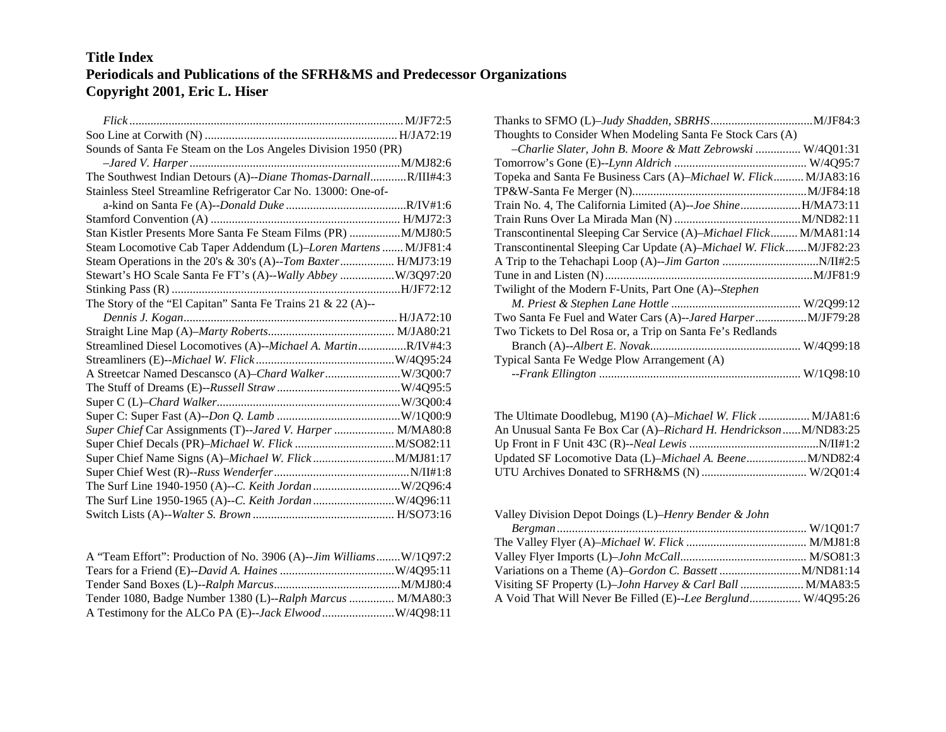| Sounds of Santa Fe Steam on the Los Angeles Division 1950 (PR)  |  |
|-----------------------------------------------------------------|--|
|                                                                 |  |
| The Southwest Indian Detours (A)--Diane Thomas-DarnallR/III#4:3 |  |
| Stainless Steel Streamline Refrigerator Car No. 13000: One-of-  |  |
|                                                                 |  |
|                                                                 |  |
| Stan Kistler Presents More Santa Fe Steam Films (PR)  M/MJ80:5  |  |
| Steam Locomotive Cab Taper Addendum (L)-Loren Martens  M/JF81:4 |  |
| Steam Operations in the 20's & 30's (A)--Tom Baxter H/MJ73:19   |  |
| Stewart's HO Scale Santa Fe FT's (A)--Wally Abbey  W/3Q97:20    |  |
|                                                                 |  |
| The Story of the "El Capitan" Santa Fe Trains 21 & 22 (A)--     |  |
|                                                                 |  |
|                                                                 |  |
| Streamlined Diesel Locomotives (A)--Michael A. MartinR/IV#4:3   |  |
|                                                                 |  |
|                                                                 |  |
|                                                                 |  |
|                                                                 |  |
|                                                                 |  |
| Super Chief Car Assignments (T)--Jared V. Harper  M/MA80:8      |  |
|                                                                 |  |
|                                                                 |  |
|                                                                 |  |
|                                                                 |  |
|                                                                 |  |
|                                                                 |  |

| A "Team Effort": Production of No. 3906 (A)--Jim WilliamsW/1Q97:2 |  |
|-------------------------------------------------------------------|--|
|                                                                   |  |
|                                                                   |  |
| Tender 1080, Badge Number 1380 (L)--Ralph Marcus  M/MA80:3        |  |
|                                                                   |  |

| Thoughts to Consider When Modeling Santa Fe Stock Cars (A)         |  |
|--------------------------------------------------------------------|--|
| -Charlie Slater, John B. Moore & Matt Zebrowski  W/4Q01:31         |  |
|                                                                    |  |
| Topeka and Santa Fe Business Cars (A)-Michael W. Flick M/JA83:16   |  |
|                                                                    |  |
| Train No. 4, The California Limited (A)--Joe ShineH/MA73:11        |  |
|                                                                    |  |
| Transcontinental Sleeping Car Service (A)-Michael Flick M/MA81:14  |  |
| Transcontinental Sleeping Car Update (A)-Michael W. FlickM/JF82:23 |  |
|                                                                    |  |
|                                                                    |  |
| Twilight of the Modern F-Units, Part One (A)--Stephen              |  |
|                                                                    |  |
| Two Santa Fe Fuel and Water Cars (A)--Jared Harper M/JF79:28       |  |
| Two Tickets to Del Rosa or, a Trip on Santa Fe's Redlands          |  |
|                                                                    |  |
| Typical Santa Fe Wedge Plow Arrangement (A)                        |  |
|                                                                    |  |
|                                                                    |  |

| The Ultimate Doodlebug, M190 (A)–Michael W. Flick  M/JA81:6     |  |
|-----------------------------------------------------------------|--|
| An Unusual Santa Fe Box Car (A)-Richard H. HendricksonM/ND83:25 |  |
|                                                                 |  |
|                                                                 |  |
|                                                                 |  |

Valley Division Depot Doings (L)–*Henry Bender & John*

| Visiting SF Property (L)–John Harvey & Carl Ball  M/MA83:5   |  |
|--------------------------------------------------------------|--|
| A Void That Will Never Be Filled (E)--Lee Berglund W/4Q95:26 |  |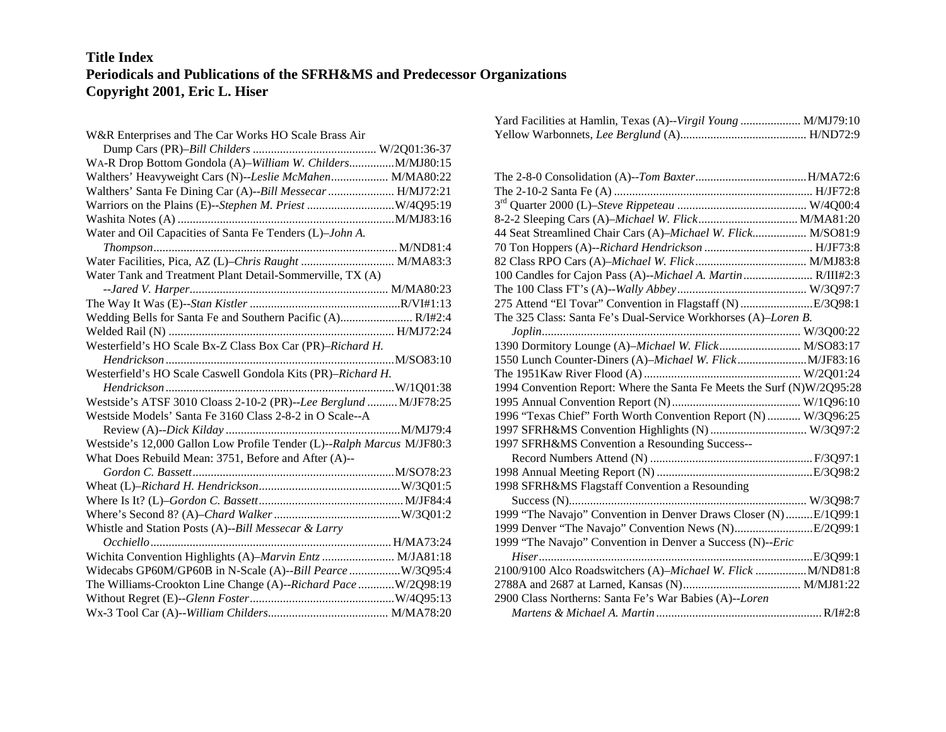| W&R Enterprises and The Car Works HO Scale Brass Air                   |
|------------------------------------------------------------------------|
|                                                                        |
| WA-R Drop Bottom Gondola (A)-William W. Childers M/MJ80:15             |
| Walthers' Heavyweight Cars (N)--Leslie McMahen M/MA80:22               |
| Walthers' Santa Fe Dining Car (A)--Bill Messecar  H/MJ72:21            |
| Warriors on the Plains (E)--Stephen M. Priest  W/4Q95:19               |
|                                                                        |
| Water and Oil Capacities of Santa Fe Tenders (L)-John A.               |
|                                                                        |
|                                                                        |
| Water Tank and Treatment Plant Detail-Sommerville, TX (A)              |
|                                                                        |
|                                                                        |
|                                                                        |
|                                                                        |
| Westerfield's HO Scale Bx-Z Class Box Car (PR)-Richard H.              |
|                                                                        |
| Westerfield's HO Scale Caswell Gondola Kits (PR)-Richard H.            |
|                                                                        |
| Westside's ATSF 3010 Cloass 2-10-2 (PR)--Lee Berglund  M/JF78:25       |
| Westside Models' Santa Fe 3160 Class 2-8-2 in O Scale--A               |
|                                                                        |
| Westside's 12,000 Gallon Low Profile Tender (L)--Ralph Marcus M/JF80:3 |
| What Does Rebuild Mean: 3751, Before and After (A)--                   |
|                                                                        |
|                                                                        |
|                                                                        |
|                                                                        |
| Whistle and Station Posts (A)--Bill Messecar & Larry                   |
|                                                                        |
| Wichita Convention Highlights (A)-Marvin Entz  M/JA81:18               |
| Widecabs GP60M/GP60B in N-Scale (A)--Bill Pearce  W/3Q95:4             |
| The Williams-Crookton Line Change (A)--Richard Pace W/2Q98:19          |
|                                                                        |
|                                                                        |

| Yard Facilities at Hamlin, Texas (A)-- <i>Virgil Young </i> M/MJ79:10 |  |
|-----------------------------------------------------------------------|--|
|                                                                       |  |

| 44 Seat Streamlined Chair Cars (A)-Michael W. Flick M/SO81:9           |  |
|------------------------------------------------------------------------|--|
|                                                                        |  |
|                                                                        |  |
| 100 Candles for Cajon Pass (A)--Michael A. Martin  R/III#2:3           |  |
|                                                                        |  |
| 275 Attend "El Tovar" Convention in Flagstaff (N) E/3Q98:1             |  |
| The 325 Class: Santa Fe's Dual-Service Workhorses (A)-Loren B.         |  |
|                                                                        |  |
| 1390 Dormitory Lounge (A)-Michael W. Flick M/SO83:17                   |  |
|                                                                        |  |
|                                                                        |  |
| 1994 Convention Report: Where the Santa Fe Meets the Surf (N)W/2Q95:28 |  |
|                                                                        |  |
| 1996 "Texas Chief" Forth Worth Convention Report (N)  W/3Q96:25        |  |
|                                                                        |  |
| 1997 SFRH&MS Convention a Resounding Success--                         |  |
|                                                                        |  |
|                                                                        |  |
| 1998 SFRH&MS Flagstaff Convention a Resounding                         |  |
|                                                                        |  |
| 1999 "The Navajo" Convention in Denver Draws Closer (N)  E/1Q99:1      |  |
|                                                                        |  |
| 1999 "The Navajo" Convention in Denver a Success (N)--Eric             |  |
| E/3Q99:1<br>$Hiser$                                                    |  |
| 2100/9100 Alco Roadswitchers (A)-Michael W. Flick  M/ND81:8            |  |
|                                                                        |  |
| 2900 Class Northerns: Santa Fe's War Babies (A)--Loren                 |  |
|                                                                        |  |